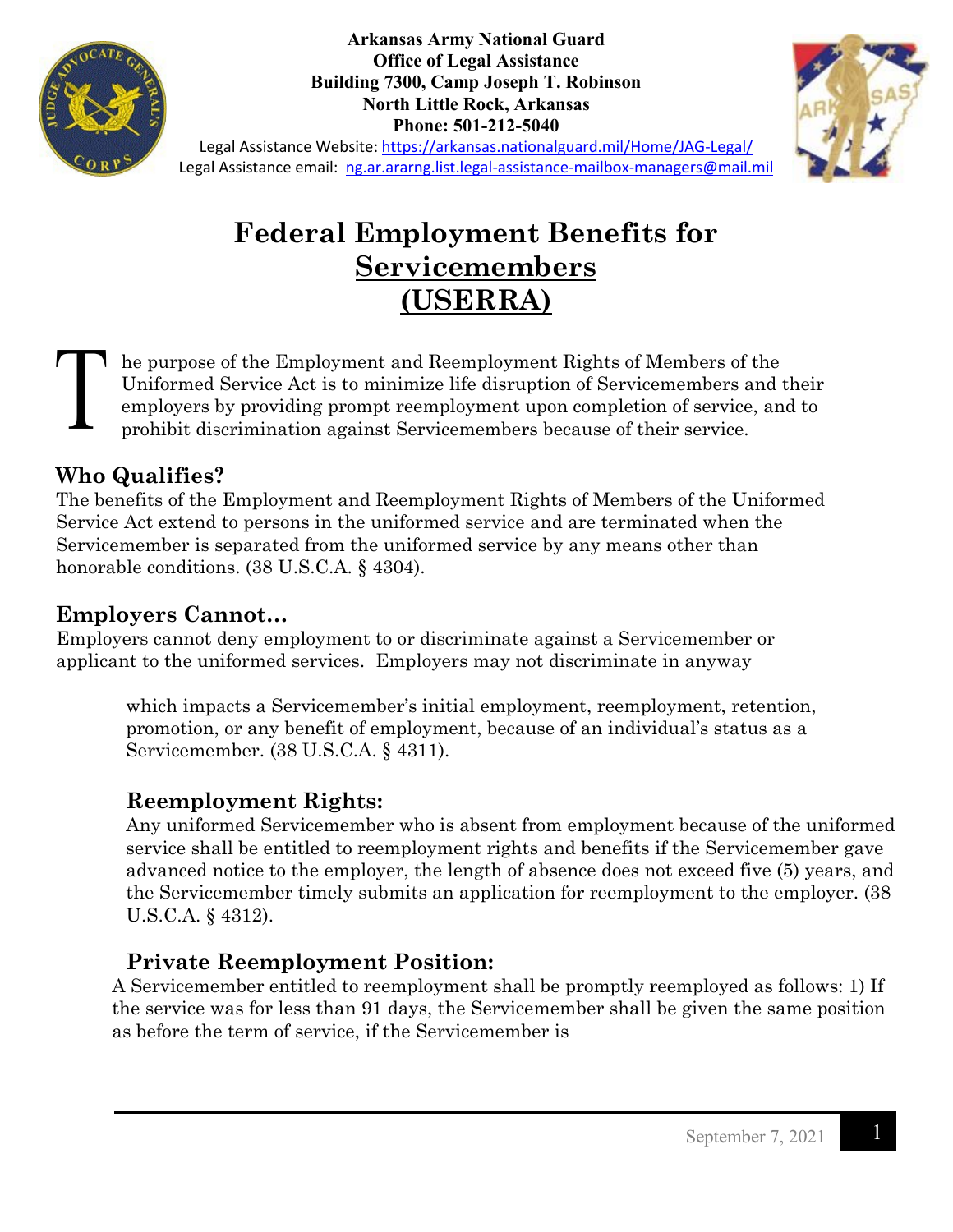

**Arkansas Army National Guard Office of Legal Assistance Building 7300, Camp Joseph T. Robinson North Little Rock, Arkansas Phone: 501-212-5040**



Legal Assistance Website:<https://arkansas.nationalguard.mil/Home/JAG-Legal/> Legal Assistance email: [ng.ar.ararng.list.legal-assistance-mailbox-managers@mail.mil](mailto:ng.ar.ararng.list.legal-assistance-mailbox-managers@mail.mil)

# **Federal Employment Benefits for Servicemembers (USERRA)**

he purpose of the Employment and Reemployment Rights of Members of the Uniformed Service Act is to minimize life disruption of Servicemembers and their employers by providing prompt reemployment upon completion of service, and to prohibit discrimination against Servicemembers because of their service.

### **Who Qualifies?**

The benefits of the Employment and Reemployment Rights of Members of the Uniformed Service Act extend to persons in the uniformed service and are terminated when the Servicemember is separated from the uniformed service by any means other than honorable conditions. (38 U.S.C.A. § 4304).

### **Employers Cannot…**

Employers cannot deny employment to or discriminate against a Servicemember or applicant to the uniformed services. Employers may not discriminate in anyway

which impacts a Servicemember's initial employment, reemployment, retention, promotion, or any benefit of employment, because of an individual's status as a Servicemember. (38 U.S.C.A. § 4311).

### **Reemployment Rights:**

Any uniformed Servicemember who is absent from employment because of the uniformed service shall be entitled to reemployment rights and benefits if the Servicemember gave advanced notice to the employer, the length of absence does not exceed five (5) years, and the Servicemember timely submits an application for reemployment to the employer. (38 U.S.C.A. § 4312).

## **Private Reemployment Position:**

A Servicemember entitled to reemployment shall be promptly reemployed as follows: 1) If the service was for less than 91 days, the Servicemember shall be given the same position as before the term of service, if the Servicemember is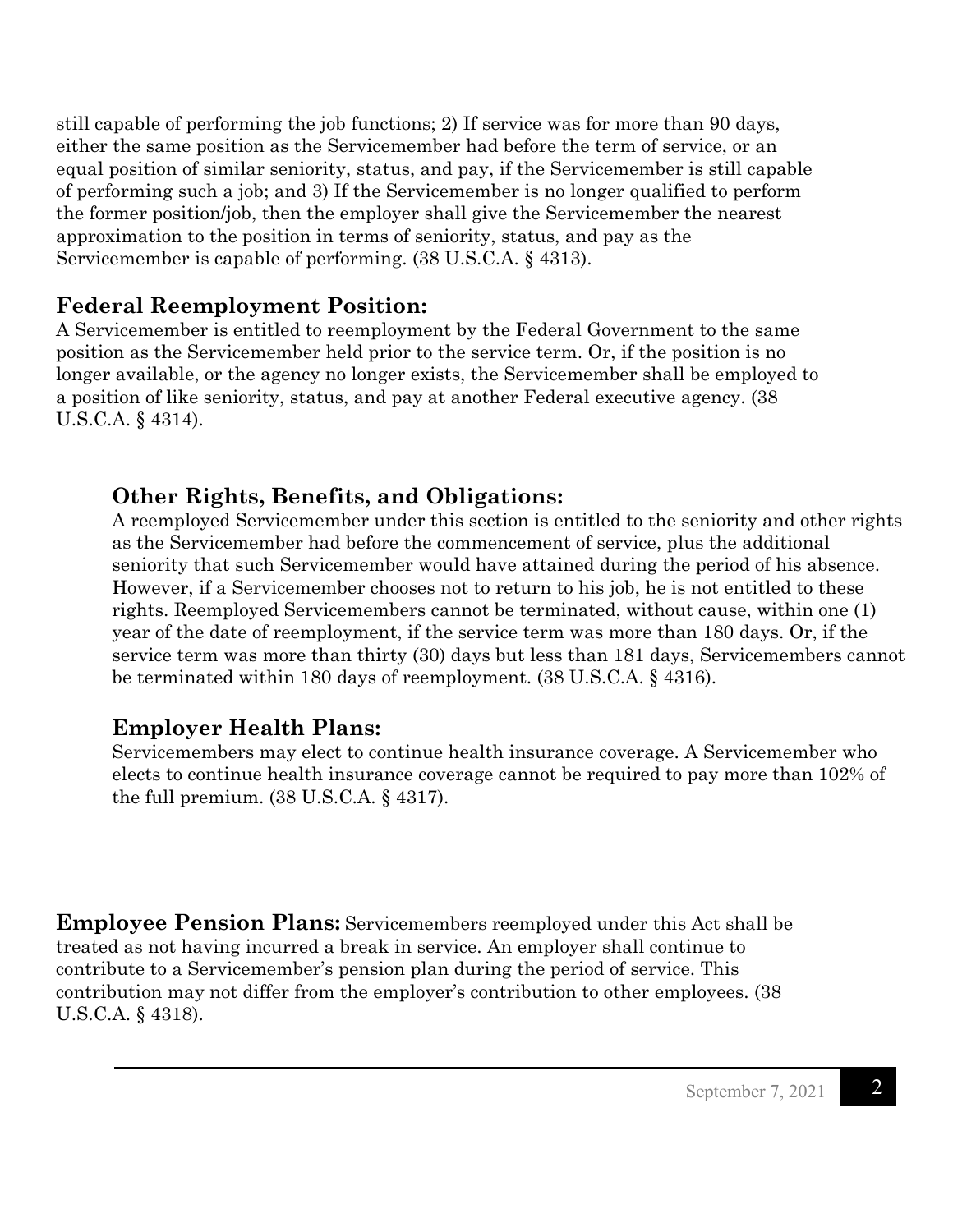still capable of performing the job functions; 2) If service was for more than 90 days, either the same position as the Servicemember had before the term of service, or an equal position of similar seniority, status, and pay, if the Servicemember is still capable of performing such a job; and 3) If the Servicemember is no longer qualified to perform the former position/job, then the employer shall give the Servicemember the nearest approximation to the position in terms of seniority, status, and pay as the Servicemember is capable of performing. (38 U.S.C.A. § 4313).

#### **Federal Reemployment Position:**

A Servicemember is entitled to reemployment by the Federal Government to the same position as the Servicemember held prior to the service term. Or, if the position is no longer available, or the agency no longer exists, the Servicemember shall be employed to a position of like seniority, status, and pay at another Federal executive agency. (38 U.S.C.A. § 4314).

### **Other Rights, Benefits, and Obligations:**

A reemployed Servicemember under this section is entitled to the seniority and other rights as the Servicemember had before the commencement of service, plus the additional seniority that such Servicemember would have attained during the period of his absence. However, if a Servicemember chooses not to return to his job, he is not entitled to these rights. Reemployed Servicemembers cannot be terminated, without cause, within one (1) year of the date of reemployment, if the service term was more than 180 days. Or, if the service term was more than thirty (30) days but less than 181 days, Servicemembers cannot be terminated within 180 days of reemployment. (38 U.S.C.A. § 4316).

### **Employer Health Plans:**

Servicemembers may elect to continue health insurance coverage. A Servicemember who elects to continue health insurance coverage cannot be required to pay more than 102% of the full premium. (38 U.S.C.A. § 4317).

**Employee Pension Plans:** Servicemembers reemployed under this Act shall be treated as not having incurred a break in service. An employer shall continue to contribute to a Servicemember's pension plan during the period of service. This contribution may not differ from the employer's contribution to other employees. (38 U.S.C.A. § 4318).